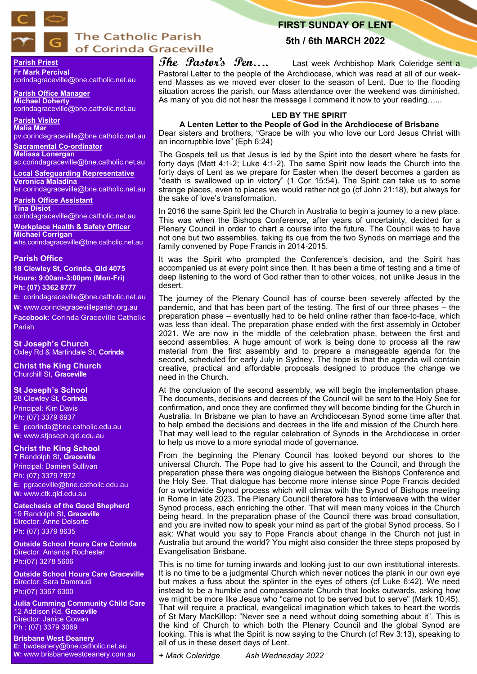

# **The Catholic Parish** of Corinda Graceville

# **FIRST SUNDAY OF LENT**

# **5th / 6th MARCH 2022**

**Parish Priest Fr Mark Percival**

corindagraceville@bne.catholic.net.au

**Parish Office Manager Michael Doherty** corindagraceville@bne.catholic.net.au

**Parish Visitor Malia Mar**  pv.corindagraceville@bne.catholic.net.au

**Sacramental Co-ordinator Melissa Lonergan**  sc.corindagraceville@bne.catholic.net.au

**Local Safeguarding Representative Veronica Maladina** lsr.corindagraceville@bne.catholic.net.au

**Parish Office Assistant Tina Disiot** 

corindagraceville@bne.catholic.net.au

**Workplace Health & Safety Officer Michael Corrigan** whs.corindagraceville@bne.catholic.net.au

### **Parish Office**

**18 Clewley St, Corinda, Qld 4075 Hours: 9:00am-3:00pm (Mon-Fri) Ph: (07) 3362 8777**

**E:** corindagraceville@bne.catholic.net.au

**W:** www.corindagracevilleparish.org.au **Facebook:** Corinda Graceville Catholic Parish

**St Joseph's Church** Oxley Rd & Martindale St, **Corinda**

**Christ the King Church** Churchill St, **Graceville**

### **St Joseph's School**

28 Clewley St, **Corinda** Principal: Kim Davis Ph: (07) 3379 6937 **E:** pcorinda@bne.catholic.edu.au **W:** www.stjoseph.qld.edu.au

## **Christ the King School**

7 Randolph St, **Graceville** Principal: Damien Sullivan Ph: (07) 3379 7872 **E:** pgraceville@bne.catholic.edu.au **W:** www.ctk.qld.edu.au

**Catechesis of the Good Shepherd**  19 Randolph St, **Graceville**  Director: Anne Delsorte Ph: (07) 3379 8635

**Outside School Hours Care Corinda**  Director: Amanda Rochester Ph:(07) 3278 5606

**Outside School Hours Care Graceville**  Director: Sara Damroudi Ph:(07) 3367 6300

**Julia Cumming Community Child Care**  12 Addison Rd, **Graceville**  Director: Janice Cowan Ph : (07) 3379 3069

**Brisbane West Deanery E:** bwdeanery@bne.catholic.net.au **W:** www.brisbanewestdeanery.com.au

# **The Pastor's Pen....** Last week Archbishop Mark Coleridge sent a Pastoral Letter to the people of the Archdiocese, which was read at all of our weekend Masses as we moved ever closer to the season of Lent. Due to the flooding situation across the parish, our Mass attendance over the weekend was diminished. As many of you did not hear the message I commend it now to your reading......

# **LED BY THE SPIRIT**

**A Lenten Letter to the People of God in the Archdiocese of Brisbane** Dear sisters and brothers, "Grace be with you who love our Lord Jesus Christ with an incorruptible love" (Eph 6:24)

The Gospels tell us that Jesus is led by the Spirit into the desert where he fasts for forty days (Matt 4:1-2; Luke 4:1-2). The same Spirit now leads the Church into the forty days of Lent as we prepare for Easter when the desert becomes a garden as "death is swallowed up in victory" (1 Cor 15:54). The Spirit can take us to some strange places, even to places we would rather not go (cf John 21:18), but always for the sake of love's transformation.

In 2016 the same Spirit led the Church in Australia to begin a journey to a new place. This was when the Bishops Conference, after years of uncertainty, decided for a Plenary Council in order to chart a course into the future. The Council was to have not one but two assemblies, taking its cue from the two Synods on marriage and the family convened by Pope Francis in 2014-2015.

It was the Spirit who prompted the Conference's decision, and the Spirit has accompanied us at every point since then. It has been a time of testing and a time of deep listening to the word of God rather than to other voices, not unlike Jesus in the desert.

The journey of the Plenary Council has of course been severely affected by the pandemic, and that has been part of the testing. The first of our three phases – the preparation phase – eventually had to be held online rather than face-to-face, which was less than ideal. The preparation phase ended with the first assembly in October 2021. We are now in the middle of the celebration phase, between the first and second assemblies. A huge amount of work is being done to process all the raw material from the first assembly and to prepare a manageable agenda for the second, scheduled for early July in Sydney. The hope is that the agenda will contain creative, practical and affordable proposals designed to produce the change we need in the Church.

At the conclusion of the second assembly, we will begin the implementation phase. The documents, decisions and decrees of the Council will be sent to the Holy See for confirmation, and once they are confirmed they will become binding for the Church in Australia. In Brisbane we plan to have an Archdiocesan Synod some time after that to help embed the decisions and decrees in the life and mission of the Church here. That may well lead to the regular celebration of Synods in the Archdiocese in order to help us move to a more synodal mode of governance.

From the beginning the Plenary Council has looked beyond our shores to the universal Church. The Pope had to give his assent to the Council, and through the preparation phase there was ongoing dialogue between the Bishops Conference and the Holy See. That dialogue has become more intense since Pope Francis decided for a worldwide Synod process which will climax with the Synod of Bishops meeting in Rome in late 2023. The Plenary Council therefore has to interweave with the wider Synod process, each enriching the other. That will mean many voices in the Church being heard. In the preparation phase of the Council there was broad consultation, and you are invited now to speak your mind as part of the global Synod process. So I ask: What would you say to Pope Francis about change in the Church not just in Australia but around the world? You might also consider the three steps proposed by Evangelisation Brisbane.

This is no time for turning inwards and looking just to our own institutional interests. It is no time to be a judgmental Church which never notices the plank in our own eye but makes a fuss about the splinter in the eyes of others (cf Luke 6:42). We need instead to be a humble and compassionate Church that looks outwards, asking how we might be more like Jesus who "came not to be served but to serve" (Mark 10:45). That will require a practical, evangelical imagination which takes to heart the words of St Mary MacKillop: "Never see a need without doing something about it". This is the kind of Church to which both the Plenary Council and the global Synod are looking. This is what the Spirit is now saying to the Church (cf Rev 3:13), speaking to all of us in these desert days of Lent.

*+ Mark Coleridge Ash Wednesday 2022*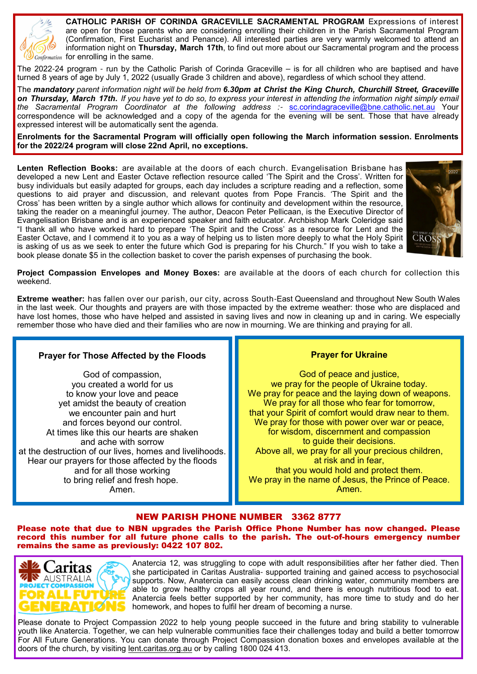

**CATHOLIC PARISH OF CORINDA GRACEVILLE SACRAMENTAL PROGRAM** Expressions of interest are open for those parents who are considering enrolling their children in the Parish Sacramental Program (Confirmation, First Eucharist and Penance). All interested parties are very warmly welcomed to attend an information night on **Thursday, March 17th**, to find out more about our Sacramental program and the process  $\int$  Confirmation for enrolling in the same.

The 2022-24 program - run by the Catholic Parish of Corinda Graceville – is for all children who are baptised and have turned 8 years of age by July 1, 2022 (usually Grade 3 children and above), regardless of which school they attend.

The *mandatory parent information night will be held from 6.30pm at Christ the King Church, Churchill Street, Graceville on Thursday, March 17th. If you have yet to do so, to express your interest in attending the information night simply email the Sacramental Program Coordinator at the following address :*- sc.corindagraceville@bne.catholic.net.au Your correspondence will be acknowledged and a copy of the agenda for the evening will be sent. Those that have already expressed interest will be automatically sent the agenda.

**Enrolments for the Sacramental Program will officially open following the March information session. Enrolments for the 2022/24 program will close 22nd April, no exceptions.**

**Lenten Reflection Books:** are available at the doors of each church. Evangelisation Brisbane has developed a new Lent and Easter Octave reflection resource called 'The Spirit and the Cross'. Written for busy individuals but easily adapted for groups, each day includes a scripture reading and a reflection, some questions to aid prayer and discussion, and relevant quotes from Pope Francis. 'The Spirit and the Cross' has been written by a single author which allows for continuity and development within the resource, taking the reader on a meaningful journey. The author, Deacon Peter Pellicaan, is the Executive Director of Evangelisation Brisbane and is an experienced speaker and faith educator. Archbishop Mark Coleridge said "I thank all who have worked hard to prepare 'The Spirit and the Cross' as a resource for Lent and the Easter Octave, and I commend it to you as a way of helping us to listen more deeply to what the Holy Spirit is asking of us as we seek to enter the future which God is preparing for his Church." If you wish to take a book please donate \$5 in the collection basket to cover the parish expenses of purchasing the book.



**Project Compassion Envelopes and Money Boxes:** are available at the doors of each church for collection this weekend.

**Extreme weather:** has fallen over our parish, our city, across South-East Queensland and throughout New South Wales in the last week. Our thoughts and prayers are with those impacted by the extreme weather: those who are displaced and have lost homes, those who have helped and assisted in saving lives and now in cleaning up and in caring. We especially remember those who have died and their families who are now in mourning. We are thinking and praying for all.

# **Prayer for Those Affected by the Floods**

God of compassion, you created a world for us to know your love and peace yet amidst the beauty of creation we encounter pain and hurt and forces beyond our control. At times like this our hearts are shaken and ache with sorrow at the destruction of our lives, homes and livelihoods. Hear our prayers for those affected by the floods and for all those working to bring relief and fresh hope. Amen.

# **Prayer for Ukraine**

God of peace and justice, we pray for the people of Ukraine today. We pray for peace and the laying down of weapons. We pray for all those who fear for tomorrow, that your Spirit of comfort would draw near to them. We pray for those with power over war or peace, for wisdom, discernment and compassion to guide their decisions. Above all, we pray for all your precious children, at risk and in fear, that you would hold and protect them. We pray in the name of Jesus, the Prince of Peace. Amen.

# NEW PARISH PHONE NUMBER 3362 8777

Please note that due to NBN upgrades the Parish Office Phone Number has now changed. Please record this number for all future phone calls to the parish. The out-of-hours emergency number remains the same as previously: 0422 107 802.



Anatercia 12, was struggling to cope with adult responsibilities after her father died. Then she participated in Caritas Australia- supported training and gained access to psychosocial supports. Now, Anatercia can easily access clean drinking water, community members are able to grow healthy crops all year round, and there is enough nutritious food to eat. Anatercia feels better supported by her community, has more time to study and do her homework, and hopes to fulfil her dream of becoming a nurse.

Please donate to Project Compassion 2022 to help young people succeed in the future and bring stability to vulnerable youth like Anatercia. Together, we can help vulnerable communities face their challenges today and build a better tomorrow For All Future Generations. You can donate through Project Compassion donation boxes and envelopes available at the doors of the church, by visiting lent.caritas.org.au or by calling 1800 024 413.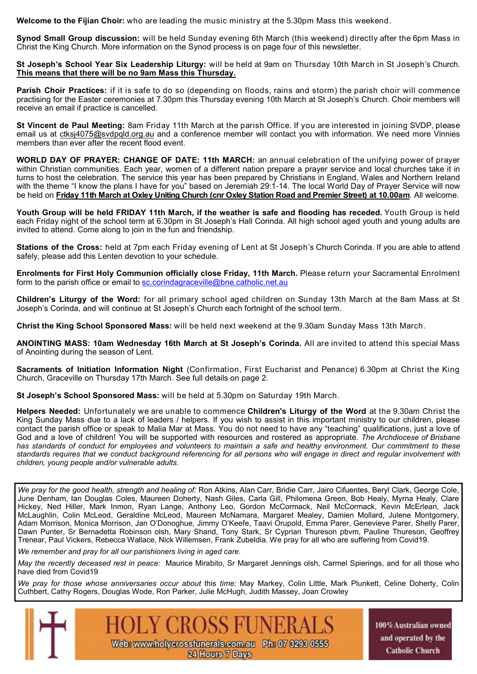**Welcome to the Fijian Choir:** who are leading the music ministry at the 5.30pm Mass this weekend.

**Synod Small Group discussion:** will be held Sunday evening 6th March (this weekend) directly after the 6pm Mass in Christ the King Church. More information on the Synod process is on page four of this newsletter.

**St Joseph's School Year Six Leadership Liturgy:** will be held at 9am on Thursday 10th March in St Joseph's Church. **This means that there will be no 9am Mass this Thursday.** 

**Parish Choir Practices:** if it is safe to do so (depending on floods, rains and storm) the parish choir will commence practising for the Easter ceremonies at 7.30pm this Thursday evening 10th March at St Joseph's Church. Choir members will receive an email if practice is cancelled.

**St Vincent de Paul Meeting:** 8am Friday 11th March at the parish Office. If you are interested in joining SVDP, please email us at ctksj4075@svdpqld.org.au and a conference member will contact you with information. We need more Vinnies members than ever after the recent flood event.

**WORLD DAY OF PRAYER: CHANGE OF DATE: 11th MARCH:** an annual celebration of the unifying power of prayer within Christian communities. Each year, women of a different nation prepare a prayer service and local churches take it in turns to host the celebration. The service this year has been prepared by Christians in England, Wales and Northern Ireland with the theme "I know the plans I have for you" based on Jeremiah 29:1-14. The local World Day of Prayer Service will now be held on **Friday 11th March at Oxley Uniting Church (cnr Oxley Station Road and Premier Street) at 10.00am**. All welcome.

**Youth Group will be held FRIDAY 11th March, if the weather is safe and flooding has receded.** Youth Group is held each Friday night of the school term at 6.30pm in St Joseph's Hall Corinda. All high school aged youth and young adults are invited to attend. Come along to join in the fun and friendship.

**Stations of the Cross:** held at 7pm each Friday evening of Lent at St Joseph's Church Corinda. If you are able to attend safely, please add this Lenten devotion to your schedule.

**Enrolments for First Holy Communion officially close Friday, 11th March.** Please return your Sacramental Enrolment form to the parish office or email to sc.corindagraceville@bne.catholic.net.au

**Children's Liturgy of the Word:** for all primary school aged children on Sunday 13th March at the 8am Mass at St Joseph's Corinda, and will continue at St Joseph's Church each fortnight of the school term.

**Christ the King School Sponsored Mass:** will be held next weekend at the 9.30am Sunday Mass 13th March.

**ANOINTING MASS: 10am Wednesday 16th March at St Joseph's Corinda.** All are invited to attend this special Mass of Anointing during the season of Lent.

**Sacraments of Initiation Information Night** (Confirmation, First Eucharist and Penance) 6.30pm at Christ the King Church, Graceville on Thursday 17th March. See full details on page 2.

**St Joseph's School Sponsored Mass:** will be held at 5.30pm on Saturday 19th March.

**Helpers Needed:** Unfortunately we are unable to commence **Children's Liturgy of the Word** at the 9.30am Christ the King Sunday Mass due to a lack of leaders / helpers. If you wish to assist in this important ministry to our children, please contact the parish office or speak to Malia Mar at Mass. You do not need to have any "teaching" qualifications, just a love of God and a love of children! You will be supported with resources and rostered as appropriate. *The Archdiocese of Brisbane has standards of conduct for employees and volunteers to maintain a safe and healthy environment. Our commitment to these standards requires that we conduct background referencing for all persons who will engage in direct and regular involvement with children, young people and/or vulnerable adults.* 

*We pray for the good health, strength and healing of:* Ron Atkins, Alan Carr, Bridie Carr, Jairo Cifuentes, Beryl Clark, George Cole, June Denham, Ian Douglas Coles, Maureen Doherty, Nash Giles, Carla Gill, Philomena Green, Bob Healy, Myrna Healy, Clare Hickey, Ned Hiller, Mark Inmon, Ryan Lange, Anthony Leo, Gordon McCormack, Neil McCormack, Kevin McErlean, Jack McLaughlin, Colin McLeod, Geraldine McLeod, Maureen McNamara, Margaret Mealey, Damien Mollard, Julene Montgomery, Adam Morrison, Monica Morrison, Jan O'Donoghue, Jimmy O'Keefe, Taavi Orupold, Emma Parer, Genevieve Parer, Shelly Parer, Dawn Punter, Sr Bernadetta Robinson olsh, Mary Shand, Tony Stark, Sr Cyprian Thureson pbvm, Pauline Thureson, Geoffrey Trenear, Paul Vickers, Rebecca Wallace, Nick Willemsen, Frank Zubeldia. We pray for all who are suffering from Covid19.

*We remember and pray for all our parishioners living in aged care.* 

*May the recently deceased rest in peace:* Maurice Mirabito, Sr Margaret Jennings olsh, Carmel Spierings, and for all those who have died from Covid19

*We pray for those whose anniversaries occur about* this *time:* May Markey, Colin Little, Mark Plunkett, Celine Doherty, Colin Cuthbert, Cathy Rogers, Douglas Wode, Ron Parker, Julie McHugh, Judith Massey, Joan Crowley



100% Australian owned and operated by the **Catholic Church**